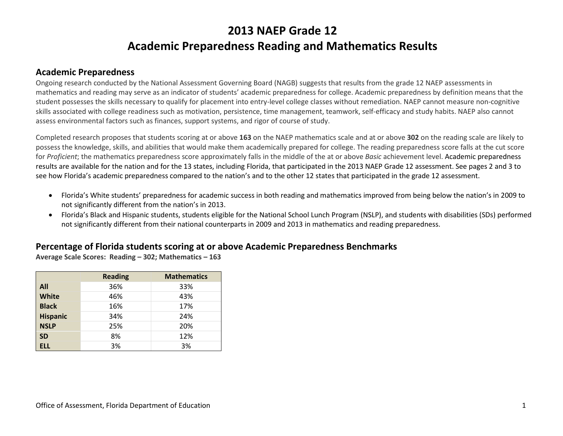# **2013 NAEP Grade 12 Academic Preparedness Reading and Mathematics Results**

#### **Academic Preparedness**

Ongoing research conducted by the National Assessment Governing Board (NAGB) suggests that results from the grade 12 NAEP assessments in mathematics and reading may serve as an indicator of students' academic preparedness for college. Academic preparedness by definition means that the student possesses the skills necessary to qualify for placement into entry-level college classes without remediation. NAEP cannot measure non-cognitive skills associated with college readiness such as motivation, persistence, time management, teamwork, self-efficacy and study habits. NAEP also cannot assess environmental factors such as finances, support systems, and rigor of course of study.

Completed research proposes that students scoring at or above **163** on the NAEP mathematics scale and at or above **302** on the reading scale are likely to possess the knowledge, skills, and abilities that would make them academically prepared for college. The reading preparedness score falls at the cut score for *Proficient*; the mathematics preparedness score approximately falls in the middle of the at or above *Basic* achievement level. Academic preparedness results are available for the nation and for the 13 states, including Florida, that participated in the 2013 NAEP Grade 12 assessment. See pages 2 and 3 to see how Florida's academic preparedness compared to the nation's and to the other 12 states that participated in the grade 12 assessment.

- Florida's White students' preparedness for academic success in both reading and mathematics improved from being below the nation's in 2009 to not significantly different from the nation's in 2013.
- Florida's Black and Hispanic students, students eligible for the National School Lunch Program (NSLP), and students with disabilities (SDs) performed not significantly different from their national counterparts in 2009 and 2013 in mathematics and reading preparedness.

#### **Percentage of Florida students scoring at or above Academic Preparedness Benchmarks**

**Average Scale Scores: Reading – 302; Mathematics – 163** 

|                 | <b>Reading</b> | <b>Mathematics</b> |
|-----------------|----------------|--------------------|
| All             | 36%            | 33%                |
| <b>White</b>    | 46%            | 43%                |
| <b>Black</b>    | 16%            | 17%                |
| <b>Hispanic</b> | 34%            | 24%                |
| <b>NSLP</b>     | 25%            | 20%                |
| <b>SD</b>       | 8%             | 12%                |
| <b>ELL</b>      | 3%             | 3%                 |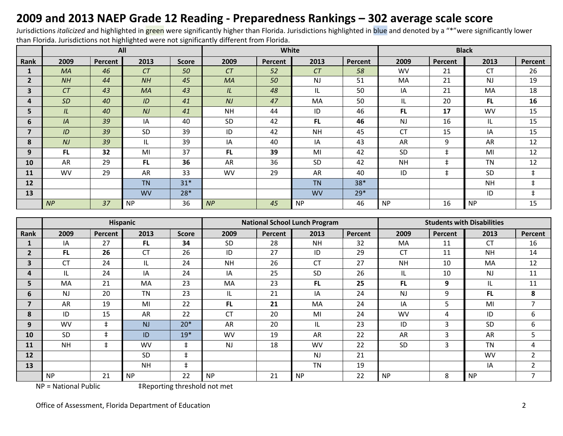## **2009 and 2013 NAEP Grade 12 Reading - Preparedness Rankings – 302 average scale score**

Jurisdictions *italicized* and highlighted in green were significantly higher than Florida. Jurisdictions highlighted in blue and denoted by a "\*"were significantly lower than Florida. Jurisdictions not highlighted were not significantly different from Florida.

|                |           |         | All       |              |           | White   |           | <b>Black</b>   |           |            |           |            |
|----------------|-----------|---------|-----------|--------------|-----------|---------|-----------|----------------|-----------|------------|-----------|------------|
| Rank           | 2009      | Percent | 2013      | <b>Score</b> | 2009      | Percent | 2013      | <b>Percent</b> | 2009      | Percent    | 2013      | Percent    |
| 1              | <b>MA</b> | 46      | CT        | 50           | CT        | 52      | CT        | 58             | <b>WV</b> | 21         | <b>CT</b> | 26         |
| 2 <sup>1</sup> | NH        | 44      | NH        | 45           | MA        | 50      | NJ        | 51             | MA        | 21         | <b>NJ</b> | 19         |
| 3              | CT        | 43      | <b>MA</b> | 43           | IL        | 48      | IL.       | 50             | IA        | 21         | MA        | 18         |
| 4              | <b>SD</b> | 40      | ID        | 41           | NJ        | 47      | MA        | 50             | IL        | 20         | FL.       | 16         |
| 5              | IL        | 40      | NJ        | 41           | <b>NH</b> | 44      | ID        | 46             | <b>FL</b> | 17         | <b>WV</b> | 15         |
| 6              | IA        | 39      | IA        | 40           | SD        | 42      | FL.       | 46             | <b>NJ</b> | 16         | IL.       | 15         |
| 7              | ID        | 39      | <b>SD</b> | 39           | ID        | 42      | <b>NH</b> | 45             | <b>CT</b> | 15         | IA        | 15         |
| 8              | NJ        | 39      | IL.       | 39           | IA        | 40      | IA        | 43             | AR        | 9          | AR        | 12         |
| 9              | FL.       | 32      | MI        | 37           | FL.       | 39      | MI        | 42             | SD        | $\ddagger$ | MI        | 12         |
| 10             | AR        | 29      | FL.       | 36           | AR        | 36      | SD        | 42             | <b>NH</b> | $\ddagger$ | <b>TN</b> | 12         |
| <b>11</b>      | <b>WV</b> | 29      | AR        | 33           | <b>WV</b> | 29      | AR        | 40             | ID        | $\ddagger$ | <b>SD</b> | $\ddagger$ |
| 12             |           |         | <b>TN</b> | $31*$        |           |         | <b>TN</b> | $38*$          |           |            | <b>NH</b> | $\ddagger$ |
| 13             |           |         | <b>WV</b> | $28*$        |           |         | <b>WV</b> | $29*$          |           |            | ID        | $\ddagger$ |
|                | NP        | 37      | <b>NP</b> | 36           | NP        | 45      | <b>NP</b> | 46             | <b>NP</b> | 16         | <b>NP</b> | 15         |

|                |           |         | Hispanic  |              |           |         | <b>National School Lunch Program</b> |         | <b>Students with Disabilities</b> |         |           |                |  |
|----------------|-----------|---------|-----------|--------------|-----------|---------|--------------------------------------|---------|-----------------------------------|---------|-----------|----------------|--|
| Rank           | 2009      | Percent | 2013      | <b>Score</b> | 2009      | Percent | 2013                                 | Percent | 2009                              | Percent | 2013      | Percent        |  |
|                | IA        | 27      | <b>FL</b> | 34           | <b>SD</b> | 28      | <b>NH</b>                            | 32      | MA                                | 11      | <b>CT</b> | 16             |  |
| $\overline{2}$ | <b>FL</b> | 26      | <b>CT</b> | 26           | ID        | 27      | ID                                   | 29      | <b>CT</b>                         | 11      | <b>NH</b> | 14             |  |
| 3              | СT        | 24      | IL        | 24           | <b>NH</b> | 26      | <b>CT</b>                            | 27      | <b>NH</b>                         | 10      | MA        | 12             |  |
| 4              | IL        | 24      | IA        | 24           | IA        | 25      | <b>SD</b>                            | 26      | IL                                | 10      | <b>NJ</b> | 11             |  |
| 5              | <b>MA</b> | 21      | <b>MA</b> | 23           | MA        | 23      | FL.                                  | 25      | FL.                               | 9       | IL        | 11             |  |
| 6              | <b>NJ</b> | 20      | <b>TN</b> | 23           | IL        | 21      | IA                                   | 24      | <b>NJ</b>                         | 9       | <b>FL</b> | 8              |  |
| 7              | AR        | 19      | MI        | 22           | <b>FL</b> | 21      | MA                                   | 24      | IA                                | 5       | MI        | 7              |  |
| 8              | ID        | 15      | AR        | 22           | <b>CT</b> | 20      | MI                                   | 24      | <b>WV</b>                         | 4       | ID        | 6              |  |
| 9              | <b>WV</b> | $\pm$   | NJ        | $20*$        | AR        | 20      | IL.                                  | 23      | ID                                | 3       | <b>SD</b> | 6              |  |
| 10             | SD        | $\pm$   | ID        | $19*$        | <b>WV</b> | 19      | AR                                   | 22      | AR                                | 3       | AR        | 5              |  |
| 11             | <b>NH</b> | $\pm$   | <b>WV</b> | $\ddagger$   | <b>NJ</b> | 18      | <b>WV</b>                            | 22      | <b>SD</b>                         | 3       | <b>TN</b> | 4              |  |
| 12             |           |         | <b>SD</b> | $\pm$        |           |         | N <sub>J</sub>                       | 21      |                                   |         | <b>WV</b> | $\overline{2}$ |  |
| 13             |           |         | <b>NH</b> | $\ddagger$   |           |         | <b>TN</b>                            | 19      |                                   |         | IA        | $\overline{2}$ |  |
|                | <b>NP</b> | 21      | <b>NP</b> | 22           | <b>NP</b> | 21      | <b>NP</b>                            | 22      | <b>NP</b>                         | 8       | <b>NP</b> | 7              |  |

NP = National Public ‡Reporting threshold not met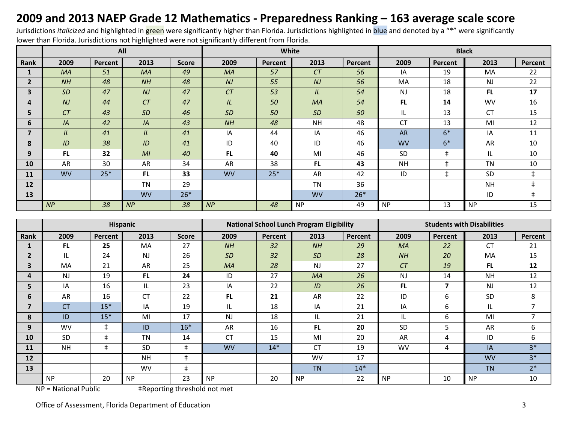## **2009 and 2013 NAEP Grade 12 Mathematics - Preparedness Ranking – 163 average scale score**

Jurisdictions *italicized* and highlighted in green were significantly higher than Florida*.* Jurisdictions highlighted in blue and denoted by a "\*" were significantly lower than Florida. Jurisdictions not highlighted were not significantly different from Florida.

|                |           |         | All            |              |           | White   |           |         | <b>Black</b> |            |           |            |  |
|----------------|-----------|---------|----------------|--------------|-----------|---------|-----------|---------|--------------|------------|-----------|------------|--|
| Rank           | 2009      | Percent | 2013           | <b>Score</b> | 2009      | Percent | 2013      | Percent | 2009         | Percent    | 2013      | Percent    |  |
| 1              | <b>MA</b> | 51      | <b>MA</b>      | 49           | <b>MA</b> | 57      | CT        | 56      | IA           | 19         | <b>MA</b> | 22         |  |
| $\mathbf{2}$   | NH        | 48      | NH             | 48           | NJ        | 55      | NJ        | 56      | MA           | 18         | NJ        | 22         |  |
| 3              | <b>SD</b> | 47      | NJ             | 47           | CT        | 53      | IL        | 54      | <b>NJ</b>    | 18         | <b>FL</b> | 17         |  |
| 4              | NJ        | 44      | CT             | 47           | IL.       | 50      | MA        | 54      | FL.          | 14         | <b>WV</b> | 16         |  |
| 5              | CT        | 43      | <b>SD</b>      | 46           | <b>SD</b> | 50      | <b>SD</b> | 50      | IL           | 13         | <b>CT</b> | 15         |  |
| 6              | IA        | 42      | IA             | 43           | NH        | 48      | <b>NH</b> | 48      | <b>CT</b>    | 13         | MI        | 12         |  |
| $\overline{7}$ | IL        | 41      | IL             | 41           | IA        | 44      | IA        | 46      | <b>AR</b>    | $6*$       | IA        | 11         |  |
| 8              | ID        | 38      | ID             | 41           | ID        | 40      | ID        | 46      | <b>WV</b>    | $6*$       | AR        | 10         |  |
| 9              | FL.       | 32      | M <sub>l</sub> | 40           | <b>FL</b> | 40      | MI        | 46      | SD           | $\ddagger$ | IL        | 10         |  |
| 10             | AR        | 30      | AR             | 34           | AR        | 38      | FL.       | 43      | <b>NH</b>    | $\ddagger$ | <b>TN</b> | 10         |  |
| 11             | <b>WV</b> | $25*$   | <b>FL</b>      | 33           | <b>WV</b> | $25*$   | AR        | 42      | ID           | $\ddagger$ | SD        | $\ddagger$ |  |
| 12             |           |         | <b>TN</b>      | 29           |           |         | <b>TN</b> | 36      |              |            | <b>NH</b> | $\ddagger$ |  |
| 13             |           |         | <b>WV</b>      | $26*$        |           |         | <b>WV</b> | $26*$   |              |            | ID        | $\ddagger$ |  |
|                | NP        | 38      | NP             | 38           | NP        | 48      | <b>NP</b> | 49      | <b>NP</b>    | 13         | <b>NP</b> | 15         |  |

|                         |                |            | Hispanic  |              |           |         | <b>National School Lunch Program Eligibility</b> |         | <b>Students with Disabilities</b> |         |           |                |  |
|-------------------------|----------------|------------|-----------|--------------|-----------|---------|--------------------------------------------------|---------|-----------------------------------|---------|-----------|----------------|--|
| Rank                    | 2009           | Percent    | 2013      | <b>Score</b> | 2009      | Percent | 2013                                             | Percent | 2009                              | Percent | 2013      | Percent        |  |
|                         | FL.            | 25         | <b>MA</b> | 27           | NH        | 32      | NH                                               | 29      | <b>MA</b>                         | 22      | <b>CT</b> | 21             |  |
| $\overline{2}$          | IL             | 24         | <b>NJ</b> | 26           | <b>SD</b> | 32      | <b>SD</b>                                        | 28      | NH                                | 20      | MA        | 15             |  |
| $\overline{\mathbf{3}}$ | MA             | 21         | AR        | 25           | <b>MA</b> | 28      | <b>NJ</b>                                        | 27      | CT                                | 19      | <b>FL</b> | 12             |  |
| 4                       | N <sub>J</sub> | 19         | <b>FL</b> | 24           | ID        | 27      | <b>MA</b>                                        | 26      | <b>NJ</b>                         | 14      | <b>NH</b> | 12             |  |
| 5                       | IA             | 16         | IL        | 23           | IA        | 22      | ID                                               | 26      | FL.                               | 7       | <b>NJ</b> | 12             |  |
| 6                       | AR             | 16         | <b>CT</b> | 22           | FL.       | 21      | AR                                               | 22      | ID                                | 6       | SD        | 8              |  |
| 7                       | <b>CT</b>      | $15*$      | IA        | 19           | IL.       | 18      | IA                                               | 21      | IA                                | 6       | IL        | 7              |  |
| 8                       | ID             | $15*$      | MI        | 17           | <b>NJ</b> | 18      | IL                                               | 21      | IL                                | 6       | MI        | $\overline{7}$ |  |
| 9                       | <b>WV</b>      | $\ddagger$ | ID        | $16*$        | AR        | 16      | FL.                                              | 20      | <b>SD</b>                         | 5       | AR        | 6              |  |
| 10                      | <b>SD</b>      | $\pm$      | <b>TN</b> | 14           | <b>CT</b> | 15      | MI                                               | 20      | AR                                | 4       | ID        | 6              |  |
| 11                      | <b>NH</b>      | $\ddagger$ | <b>SD</b> | $\ddagger$   | <b>WV</b> | $14*$   | <b>CT</b>                                        | 19      | <b>WV</b>                         | 4       | IA        | $3*$           |  |
| 12                      |                |            | <b>NH</b> | $\ddagger$   |           |         | <b>WV</b>                                        | 17      |                                   |         | <b>WV</b> | $3*$           |  |
| 13                      |                |            | <b>WV</b> | $\ddagger$   |           |         | <b>TN</b>                                        | $14*$   |                                   |         | <b>TN</b> | $2*$           |  |
|                         | <b>NP</b>      | 20         | <b>NP</b> | 23           | <b>NP</b> | 20      | <b>NP</b>                                        | 22      | <b>NP</b>                         | 10      | <b>NP</b> | 10             |  |

NP = National Public ‡Reporting threshold not met

Office of Assessment, Florida Department of Education 3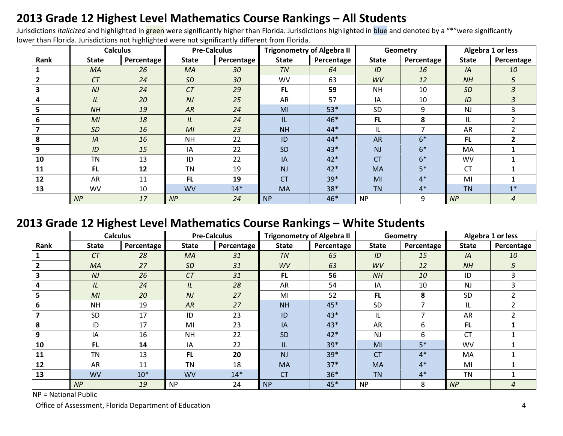## **2013 Grade 12 Highest Level Mathematics Course Rankings – All Students**

Jurisdictions *italicized* and highlighted in green were significantly higher than Florida. Jurisdictions highlighted in blue and denoted by a "\*"were significantly lower than Florida. Jurisdictions not highlighted were not significantly different from Florida.

|      | <b>Calculus</b> |                   | <b>Pre-Calculus</b> |            | <b>Trigonometry of Algebra II</b> |            |              | Geometry   | Algebra 1 or less |               |
|------|-----------------|-------------------|---------------------|------------|-----------------------------------|------------|--------------|------------|-------------------|---------------|
| Rank | <b>State</b>    | <b>Percentage</b> | <b>State</b>        | Percentage | <b>State</b>                      | Percentage | <b>State</b> | Percentage | <b>State</b>      | Percentage    |
|      | MA              | 26                | MA                  | 30         | <b>TN</b>                         | 64         | ID           | 16         | IA                | 10            |
|      | CT              | 24                | <b>SD</b>           | 30         | <b>WV</b>                         | 63         | WV           | 12         | <b>NH</b>         | 5             |
|      | N <sub>J</sub>  | 24                | CT                  | 29         | <b>FL</b>                         | 59         | <b>NH</b>    | 10         | <b>SD</b>         | 3             |
|      | IL              | 20                | NJ                  | 25         | AR                                | 57         | IA           | 10         | ID                | 3             |
|      | NH              | 19                | AR                  | 24         | MI                                | $53*$      | <b>SD</b>    | 9          | <b>NJ</b>         | 3.            |
| 6    | M <sub>l</sub>  | 18                | IL                  | 24         | IL                                | 46*        | FL.          | 8          | IL                | $\mathcal{P}$ |
|      | <b>SD</b>       | 16                | M <sub>l</sub>      | 23         | <b>NH</b>                         | $44*$      | IL           | 7          | AR                |               |
| 8    | IA              | 16                | <b>NH</b>           | 22         | ID                                | $44*$      | <b>AR</b>    | $6*$       | <b>FL</b>         |               |
| 9    | ID              | 15                | IA                  | 22         | SD                                | $43*$      | <b>NJ</b>    | $6*$       | MA                |               |
| 10   | <b>TN</b>       | 13                | ID                  | 22         | IA                                | $42*$      | <b>CT</b>    | $6*$       | <b>WV</b>         |               |
| 11   | <b>FL</b>       | 12                | <b>TN</b>           | 19         | <b>NJ</b>                         | $42*$      | <b>MA</b>    | $5*$       | <b>CT</b>         |               |
| 12   | AR              | 11                | FL                  | 19         | <b>CT</b>                         | 39*        | MI           | $4*$       | MI                |               |
| 13   | <b>WV</b>       | 10                | <b>WV</b>           | $14*$      | <b>MA</b>                         | 38*        | <b>TN</b>    | $4*$       | <b>TN</b>         | $1*$          |
|      | NP              | 17                | NP                  | 24         | <b>NP</b>                         | 46*        | <b>NP</b>    | 9          | NP                | 4             |

#### **2013 Grade 12 Highest Level Mathematics Course Rankings – White Students**

|      | <b>Calculus</b> |            | <b>Pre-Calculus</b> |            | <b>Trigonometry of Algebra II</b> |            |              | Geometry   | Algebra 1 or less |               |
|------|-----------------|------------|---------------------|------------|-----------------------------------|------------|--------------|------------|-------------------|---------------|
| Rank | <b>State</b>    | Percentage | <b>State</b>        | Percentage | <b>State</b>                      | Percentage | <b>State</b> | Percentage | <b>State</b>      | Percentage    |
|      | CT              | 28         | <b>MA</b>           | 31         | <b>TN</b>                         | 65         | ID           | 15         | IA                | 10            |
|      | MA              | 27         | <b>SD</b>           | 31         | WV                                | 63         | WV           | 12         | <b>NH</b>         | 5             |
|      | N <sub>J</sub>  | 26         | CT                  | 31         | <b>FL</b>                         | 56         | NH           | 10         | ID                | 3             |
| 4    | IL              | 24         | IL                  | 28         | AR                                | 54         | IA           | 10         | <b>NJ</b>         | 3             |
| 5    | M <sub>l</sub>  | 20         | NJ                  | 27         | MI                                | 52         | <b>FL</b>    | 8          | <b>SD</b>         |               |
|      | <b>NH</b>       | 19         | AR                  | 27         | <b>NH</b>                         | 45*        | <b>SD</b>    | 7          | IL                | $\mathcal{P}$ |
|      | <b>SD</b>       | 17         | ID                  | 23         | ID                                | 43*        | IL           |            | AR                |               |
| 8    | ID              | 17         | MI                  | 23         | IA                                | 43*        | <b>AR</b>    | 6          | <b>FL</b>         |               |
| 9    | IA              | 16         | <b>NH</b>           | 22         | SD                                | $42*$      | <b>NJ</b>    | 6          | <b>CT</b>         |               |
| 10   | <b>FL</b>       | 14         | IA                  | 22         | IL                                | 39*        | MI           | $5*$       | WV                |               |
| 11   | <b>TN</b>       | 13         | <b>FL</b>           | 20         | NJ                                | 39*        | <b>CT</b>    | $4*$       | MA                |               |
| 12   | AR              | 11         | <b>TN</b>           | 18         | <b>MA</b>                         | $37*$      | MA           | $4*$       | MI                |               |
| 13   | <b>WV</b>       | $10*$      | <b>WV</b>           | $14*$      | <b>CT</b>                         | $36*$      | <b>TN</b>    | $4*$       | <b>TN</b>         |               |
|      | NP              | 19         | <b>NP</b>           | 24         | <b>NP</b>                         | 45*        | <b>NP</b>    | 8          | NP                | 4             |

NP = National Public

Office of Assessment, Florida Department of Education 4